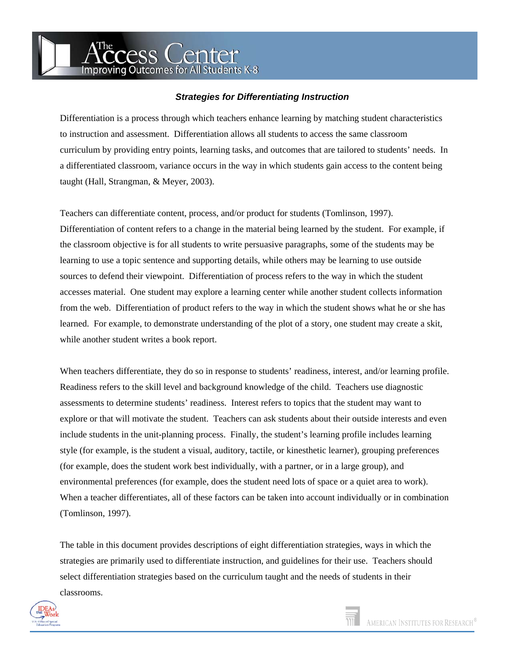ress Center **Improving Outcomes for All Students K-8** 

## *Strategies for Differentiating Instruction*

Differentiation is a process through which teachers enhance learning by matching student characteristics to instruction and assessment. Differentiation allows all students to access the same classroom curriculum by providing entry points, learning tasks, and outcomes that are tailored to students' needs. In a differentiated classroom, variance occurs in the way in which students gain access to the content being taught (Hall, Strangman, & Meyer, 2003).

Teachers can differentiate content, process, and/or product for students (Tomlinson, 1997). Differentiation of content refers to a change in the material being learned by the student. For example, if the classroom objective is for all students to write persuasive paragraphs, some of the students may be learning to use a topic sentence and supporting details, while others may be learning to use outside sources to defend their viewpoint. Differentiation of process refers to the way in which the student accesses material. One student may explore a learning center while another student collects information from the web. Differentiation of product refers to the way in which the student shows what he or she has learned. For example, to demonstrate understanding of the plot of a story, one student may create a skit, while another student writes a book report.

When teachers differentiate, they do so in response to students' readiness, interest, and/or learning profile. Readiness refers to the skill level and background knowledge of the child. Teachers use diagnostic assessments to determine students' readiness. Interest refers to topics that the student may want to explore or that will motivate the student. Teachers can ask students about their outside interests and even include students in the unit-planning process. Finally, the student's learning profile includes learning style (for example, is the student a visual, auditory, tactile, or kinesthetic learner), grouping preferences (for example, does the student work best individually, with a partner, or in a large group), and environmental preferences (for example, does the student need lots of space or a quiet area to work). When a teacher differentiates, all of these factors can be taken into account individually or in combination (Tomlinson, 1997).

The table in this document provides descriptions of eight differentiation strategies, ways in which the strategies are primarily used to differentiate instruction, and guidelines for their use. Teachers should select differentiation strategies based on the curriculum taught and the needs of students in their classrooms.

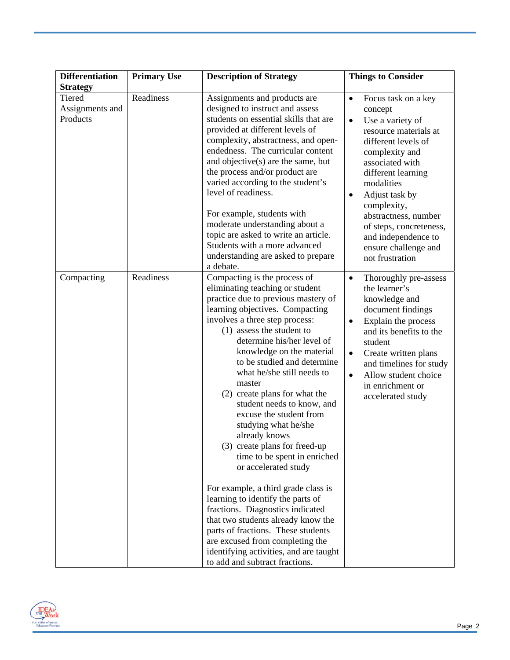| <b>Differentiation</b>                       | <b>Primary Use</b> | <b>Description of Strategy</b>                                                                                                                                                                                                                                                                                                                                                                                                                                                                                                                                                                                                                                                                                                                                                                                                                                                    | <b>Things to Consider</b>                                                                                                                                                                                                                                                                                                                                                |
|----------------------------------------------|--------------------|-----------------------------------------------------------------------------------------------------------------------------------------------------------------------------------------------------------------------------------------------------------------------------------------------------------------------------------------------------------------------------------------------------------------------------------------------------------------------------------------------------------------------------------------------------------------------------------------------------------------------------------------------------------------------------------------------------------------------------------------------------------------------------------------------------------------------------------------------------------------------------------|--------------------------------------------------------------------------------------------------------------------------------------------------------------------------------------------------------------------------------------------------------------------------------------------------------------------------------------------------------------------------|
| <b>Strategy</b>                              |                    |                                                                                                                                                                                                                                                                                                                                                                                                                                                                                                                                                                                                                                                                                                                                                                                                                                                                                   |                                                                                                                                                                                                                                                                                                                                                                          |
| <b>Tiered</b><br>Assignments and<br>Products | Readiness          | Assignments and products are<br>designed to instruct and assess<br>students on essential skills that are<br>provided at different levels of<br>complexity, abstractness, and open-<br>endedness. The curricular content<br>and objective(s) are the same, but<br>the process and/or product are<br>varied according to the student's<br>level of readiness.<br>For example, students with<br>moderate understanding about a<br>topic are asked to write an article.<br>Students with a more advanced<br>understanding are asked to prepare<br>a debate.                                                                                                                                                                                                                                                                                                                           | Focus task on a key<br>$\bullet$<br>concept<br>Use a variety of<br>$\bullet$<br>resource materials at<br>different levels of<br>complexity and<br>associated with<br>different learning<br>modalities<br>Adjust task by<br>$\bullet$<br>complexity,<br>abstractness, number<br>of steps, concreteness,<br>and independence to<br>ensure challenge and<br>not frustration |
| Compacting                                   | Readiness          | Compacting is the process of<br>eliminating teaching or student<br>practice due to previous mastery of<br>learning objectives. Compacting<br>involves a three step process:<br>(1) assess the student to<br>determine his/her level of<br>knowledge on the material<br>to be studied and determine<br>what he/she still needs to<br>master<br>(2) create plans for what the<br>student needs to know, and<br>excuse the student from<br>studying what he/she<br>already knows<br>(3) create plans for freed-up<br>time to be spent in enriched<br>or accelerated study<br>For example, a third grade class is<br>learning to identify the parts of<br>fractions. Diagnostics indicated<br>that two students already know the<br>parts of fractions. These students<br>are excused from completing the<br>identifying activities, and are taught<br>to add and subtract fractions. | Thoroughly pre-assess<br>$\bullet$<br>the learner's<br>knowledge and<br>document findings<br>Explain the process<br>$\bullet$<br>and its benefits to the<br>student<br>Create written plans<br>$\bullet$<br>and timelines for study<br>Allow student choice<br>$\bullet$<br>in enrichment or<br>accelerated study                                                        |

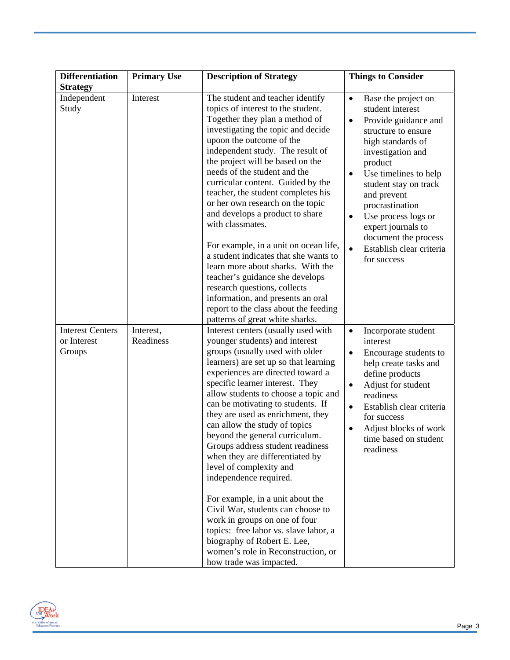| <b>Differentiation</b>                           | <b>Primary Use</b>     | <b>Description of Strategy</b>                                                                                                                                                                                                                                                                                                                                                                                                                                                                                                                                                                                                                                                                                                                                                                | <b>Things to Consider</b>                                                                                                                                                                                                                                                                                                                                                                                        |
|--------------------------------------------------|------------------------|-----------------------------------------------------------------------------------------------------------------------------------------------------------------------------------------------------------------------------------------------------------------------------------------------------------------------------------------------------------------------------------------------------------------------------------------------------------------------------------------------------------------------------------------------------------------------------------------------------------------------------------------------------------------------------------------------------------------------------------------------------------------------------------------------|------------------------------------------------------------------------------------------------------------------------------------------------------------------------------------------------------------------------------------------------------------------------------------------------------------------------------------------------------------------------------------------------------------------|
| <b>Strategy</b><br>Independent<br>Study          | Interest               | The student and teacher identify<br>topics of interest to the student.<br>Together they plan a method of<br>investigating the topic and decide<br>upoon the outcome of the<br>independent study. The result of<br>the project will be based on the<br>needs of the student and the<br>curricular content. Guided by the<br>teacher, the student completes his<br>or her own research on the topic<br>and develops a product to share<br>with classmates.<br>For example, in a unit on ocean life,<br>a student indicates that she wants to<br>learn more about sharks. With the<br>teacher's guidance she develops<br>research questions, collects<br>information, and presents an oral<br>report to the class about the feeding<br>patterns of great white sharks.                           | Base the project on<br>$\bullet$<br>student interest<br>Provide guidance and<br>$\bullet$<br>structure to ensure<br>high standards of<br>investigation and<br>product<br>Use timelines to help<br>$\bullet$<br>student stay on track<br>and prevent<br>procrastination<br>Use process logs or<br>$\bullet$<br>expert journals to<br>document the process<br>Establish clear criteria<br>$\bullet$<br>for success |
| <b>Interest Centers</b><br>or Interest<br>Groups | Interest,<br>Readiness | Interest centers (usually used with<br>younger students) and interest<br>groups (usually used with older<br>learners) are set up so that learning<br>experiences are directed toward a<br>specific learner interest. They<br>allow students to choose a topic and<br>can be motivating to students. If<br>they are used as enrichment, they<br>can allow the study of topics<br>beyond the general curriculum.<br>Groups address student readiness<br>when they are differentiated by<br>level of complexity and<br>independence required.<br>For example, in a unit about the<br>Civil War, students can choose to<br>work in groups on one of four<br>topics: free labor vs. slave labor, a<br>biography of Robert E. Lee,<br>women's role in Reconstruction, or<br>how trade was impacted. | Incorporate student<br>$\bullet$<br>interest<br>Encourage students to<br>$\bullet$<br>help create tasks and<br>define products<br>Adjust for student<br>$\bullet$<br>readiness<br>Establish clear criteria<br>$\bullet$<br>for success<br>Adjust blocks of work<br>٠<br>time based on student<br>readiness                                                                                                       |

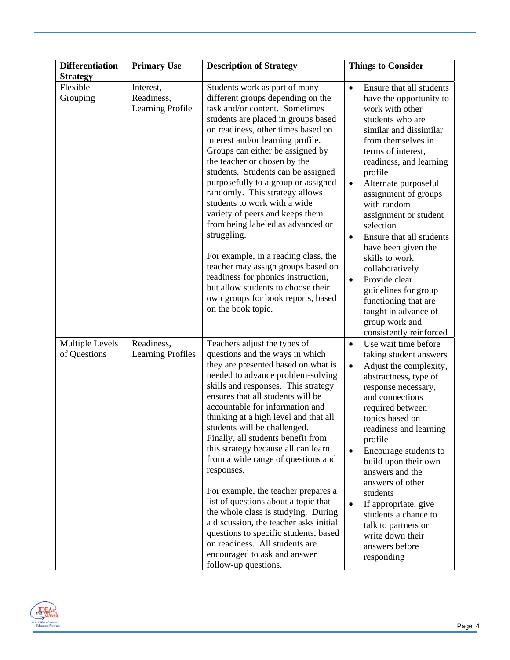| <b>Differentiation</b>                 | <b>Primary Use</b>                          | <b>Description of Strategy</b>                                                                                                                                                                                                                                                                                                                                                                                                                                                                                                                                                                                                                                                                                                                                          | <b>Things to Consider</b>                                                                                                                                                                                                                                                                                                                                                                                                                                                                                                                                          |
|----------------------------------------|---------------------------------------------|-------------------------------------------------------------------------------------------------------------------------------------------------------------------------------------------------------------------------------------------------------------------------------------------------------------------------------------------------------------------------------------------------------------------------------------------------------------------------------------------------------------------------------------------------------------------------------------------------------------------------------------------------------------------------------------------------------------------------------------------------------------------------|--------------------------------------------------------------------------------------------------------------------------------------------------------------------------------------------------------------------------------------------------------------------------------------------------------------------------------------------------------------------------------------------------------------------------------------------------------------------------------------------------------------------------------------------------------------------|
| <b>Strategy</b>                        |                                             |                                                                                                                                                                                                                                                                                                                                                                                                                                                                                                                                                                                                                                                                                                                                                                         |                                                                                                                                                                                                                                                                                                                                                                                                                                                                                                                                                                    |
| Flexible<br>Grouping                   | Interest,<br>Readiness,<br>Learning Profile | Students work as part of many<br>different groups depending on the<br>task and/or content. Sometimes<br>students are placed in groups based<br>on readiness, other times based on<br>interest and/or learning profile.<br>Groups can either be assigned by<br>the teacher or chosen by the<br>students. Students can be assigned<br>purposefully to a group or assigned<br>randomly. This strategy allows<br>students to work with a wide<br>variety of peers and keeps them<br>from being labeled as advanced or<br>struggling.<br>For example, in a reading class, the<br>teacher may assign groups based on<br>readiness for phonics instruction,<br>but allow students to choose their<br>own groups for book reports, based<br>on the book topic.                  | Ensure that all students<br>$\bullet$<br>have the opportunity to<br>work with other<br>students who are<br>similar and dissimilar<br>from themselves in<br>terms of interest,<br>readiness, and learning<br>profile<br>Alternate purposeful<br>$\bullet$<br>assignment of groups<br>with random<br>assignment or student<br>selection<br>Ensure that all students<br>$\bullet$<br>have been given the<br>skills to work<br>collaboratively<br>Provide clear<br>$\bullet$<br>guidelines for group<br>functioning that are<br>taught in advance of<br>group work and |
| <b>Multiple Levels</b><br>of Questions | Readiness,<br><b>Learning Profiles</b>      | Teachers adjust the types of<br>questions and the ways in which<br>they are presented based on what is<br>needed to advance problem-solving<br>skills and responses. This strategy<br>ensures that all students will be<br>accountable for information and<br>thinking at a high level and that all<br>students will be challenged.<br>Finally, all students benefit from<br>this strategy because all can learn<br>from a wide range of questions and<br>responses.<br>For example, the teacher prepares a<br>list of questions about a topic that<br>the whole class is studying. During<br>a discussion, the teacher asks initial<br>questions to specific students, based<br>on readiness. All students are<br>encouraged to ask and answer<br>follow-up questions. | consistently reinforced<br>Use wait time before<br>$\bullet$<br>taking student answers<br>Adjust the complexity,<br>$\bullet$<br>abstractness, type of<br>response necessary,<br>and connections<br>required between<br>topics based on<br>readiness and learning<br>profile<br>Encourage students to<br>$\bullet$<br>build upon their own<br>answers and the<br>answers of other<br>students<br>If appropriate, give<br>$\bullet$<br>students a chance to<br>talk to partners or<br>write down their<br>answers before<br>responding                              |

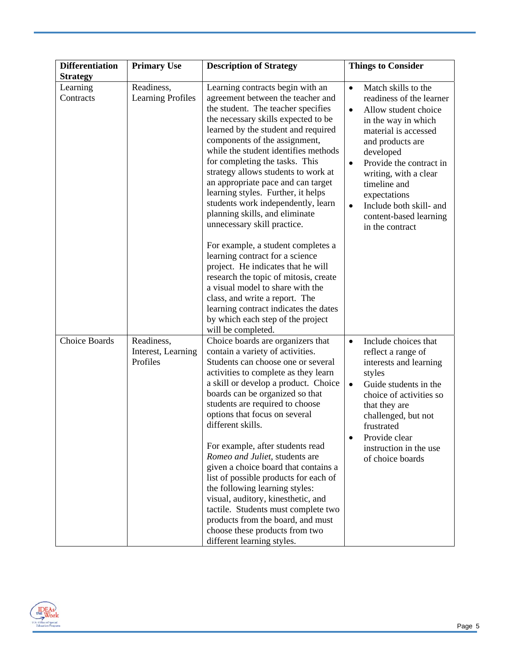| <b>Differentiation</b> | <b>Primary Use</b>                           | <b>Description of Strategy</b>                                                                                                                                                                                                                                                                                                                                                                                                                                                                                                                                                                                                                                                                     | <b>Things to Consider</b>                                                                                                                                                                                                                                                                                                               |
|------------------------|----------------------------------------------|----------------------------------------------------------------------------------------------------------------------------------------------------------------------------------------------------------------------------------------------------------------------------------------------------------------------------------------------------------------------------------------------------------------------------------------------------------------------------------------------------------------------------------------------------------------------------------------------------------------------------------------------------------------------------------------------------|-----------------------------------------------------------------------------------------------------------------------------------------------------------------------------------------------------------------------------------------------------------------------------------------------------------------------------------------|
| <b>Strategy</b>        |                                              |                                                                                                                                                                                                                                                                                                                                                                                                                                                                                                                                                                                                                                                                                                    |                                                                                                                                                                                                                                                                                                                                         |
| Learning<br>Contracts  | Readiness,<br><b>Learning Profiles</b>       | Learning contracts begin with an<br>agreement between the teacher and<br>the student. The teacher specifies<br>the necessary skills expected to be<br>learned by the student and required<br>components of the assignment,<br>while the student identifies methods<br>for completing the tasks. This<br>strategy allows students to work at<br>an appropriate pace and can target<br>learning styles. Further, it helps<br>students work independently, learn<br>planning skills, and eliminate<br>unnecessary skill practice.                                                                                                                                                                     | Match skills to the<br>$\bullet$<br>readiness of the learner<br>Allow student choice<br>$\bullet$<br>in the way in which<br>material is accessed<br>and products are<br>developed<br>Provide the contract in<br>writing, with a clear<br>timeline and<br>expectations<br>Include both skill- and<br>$\bullet$<br>content-based learning |
|                        |                                              | For example, a student completes a<br>learning contract for a science<br>project. He indicates that he will<br>research the topic of mitosis, create<br>a visual model to share with the<br>class, and write a report. The<br>learning contract indicates the dates<br>by which each step of the project<br>will be completed.                                                                                                                                                                                                                                                                                                                                                                     | in the contract                                                                                                                                                                                                                                                                                                                         |
| <b>Choice Boards</b>   | Readiness,<br>Interest, Learning<br>Profiles | Choice boards are organizers that<br>contain a variety of activities.<br>Students can choose one or several<br>activities to complete as they learn<br>a skill or develop a product. Choice<br>boards can be organized so that<br>students are required to choose<br>options that focus on several<br>different skills.<br>For example, after students read<br>Romeo and Juliet, students are<br>given a choice board that contains a<br>list of possible products for each of<br>the following learning styles:<br>visual, auditory, kinesthetic, and<br>tactile. Students must complete two<br>products from the board, and must<br>choose these products from two<br>different learning styles. | Include choices that<br>$\bullet$<br>reflect a range of<br>interests and learning<br>styles<br>Guide students in the<br>$\bullet$<br>choice of activities so<br>that they are<br>challenged, but not<br>frustrated<br>Provide clear<br>instruction in the use<br>of choice boards                                                       |